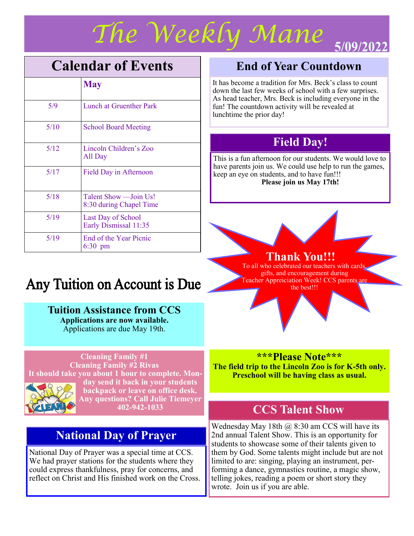

# **Calendar of Events**

|      | <b>May</b>                                         |
|------|----------------------------------------------------|
| 5/9  | Lunch at Gruenther Park                            |
| 5/10 | <b>School Board Meeting</b>                        |
| 5/12 | Lincoln Children's Zoo<br>All Day                  |
| 5/17 | Field Day in Afternoon                             |
| 5/18 | Talent Show - Join Us!<br>8:30 during Chapel Time  |
| 5/19 | <b>Last Day of School</b><br>Early Dismissal 11:35 |
| 5/19 | End of the Year Picnic<br>$6:30$ pm                |

# **End of Year Countdown**

It has become a tradition for Mrs. Beck's class to count down the last few weeks of school with a few surprises. As head teacher, Mrs. Beck is including everyone in the fun! The countdown activity will be revealed at lunchtime the prior day!

## **Field Day!**

This is a fun afternoon for our students. We would love to have parents join us. We could use help to run the games, keep an eye on students, and to have fun!!! **Please join us May 17th!**

### **Thank You!!!**

To all who celebrated our teachers with cards, gifts, and encouragement during Teacher Appreiciation Week! CCS parents are the best!!!

# Any Tuition on Account is Due

### **Tuition Assistance from CCS**

**Applications are now available.**  Applications are due May 19th.

### **Cleaning Family #1**

**Cleaning Family #2 Rivas It should take you about 1 hour to complete. Monday send it back in your students backpack or leave on office desk. Any questions? Call Julie Tiemeyer 402-942-1033**

### **National Day of Prayer**

National Day of Prayer was a special time at CCS. We had prayer stations for the students where they could express thankfulness, pray for concerns, and reflect on Christ and His finished work on the Cross.

### **\*\*\*Please Note\*\*\***

**The field trip to the Lincoln Zoo is for K-5th only. Preschool will be having class as usual.**

## **CCS Talent Show**

Wednesday May 18th  $\omega$  8:30 am CCS will have its 2nd annual Talent Show. This is an opportunity for students to showcase some of their talents given to them by God. Some talents might include but are not limited to are: singing, playing an instrument, performing a dance, gymnastics routine, a magic show, telling jokes, reading a poem or short story they wrote. Join us if you are able.